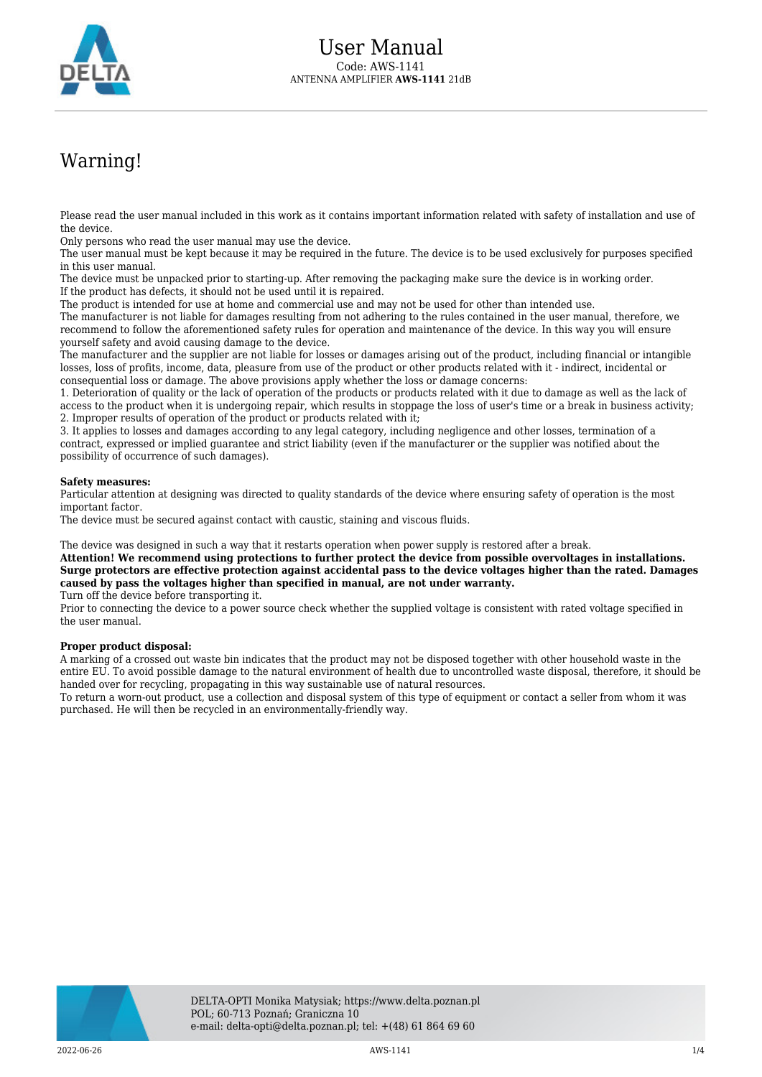

## Warning!

Please read the user manual included in this work as it contains important information related with safety of installation and use of the device.

Only persons who read the user manual may use the device.

The user manual must be kept because it may be required in the future. The device is to be used exclusively for purposes specified in this user manual.

The device must be unpacked prior to starting-up. After removing the packaging make sure the device is in working order. If the product has defects, it should not be used until it is repaired.

The product is intended for use at home and commercial use and may not be used for other than intended use.

The manufacturer is not liable for damages resulting from not adhering to the rules contained in the user manual, therefore, we recommend to follow the aforementioned safety rules for operation and maintenance of the device. In this way you will ensure yourself safety and avoid causing damage to the device.

The manufacturer and the supplier are not liable for losses or damages arising out of the product, including financial or intangible losses, loss of profits, income, data, pleasure from use of the product or other products related with it - indirect, incidental or consequential loss or damage. The above provisions apply whether the loss or damage concerns:

1. Deterioration of quality or the lack of operation of the products or products related with it due to damage as well as the lack of access to the product when it is undergoing repair, which results in stoppage the loss of user's time or a break in business activity; 2. Improper results of operation of the product or products related with it;

3. It applies to losses and damages according to any legal category, including negligence and other losses, termination of a contract, expressed or implied guarantee and strict liability (even if the manufacturer or the supplier was notified about the possibility of occurrence of such damages).

## **Safety measures:**

Particular attention at designing was directed to quality standards of the device where ensuring safety of operation is the most important factor.

The device must be secured against contact with caustic, staining and viscous fluids.

The device was designed in such a way that it restarts operation when power supply is restored after a break.

**Attention! We recommend using protections to further protect the device from possible overvoltages in installations. Surge protectors are effective protection against accidental pass to the device voltages higher than the rated. Damages caused by pass the voltages higher than specified in manual, are not under warranty.**

Turn off the device before transporting it.

Prior to connecting the device to a power source check whether the supplied voltage is consistent with rated voltage specified in the user manual.

## **Proper product disposal:**

A marking of a crossed out waste bin indicates that the product may not be disposed together with other household waste in the entire EU. To avoid possible damage to the natural environment of health due to uncontrolled waste disposal, therefore, it should be handed over for recycling, propagating in this way sustainable use of natural resources.

To return a worn-out product, use a collection and disposal system of this type of equipment or contact a seller from whom it was purchased. He will then be recycled in an environmentally-friendly way.

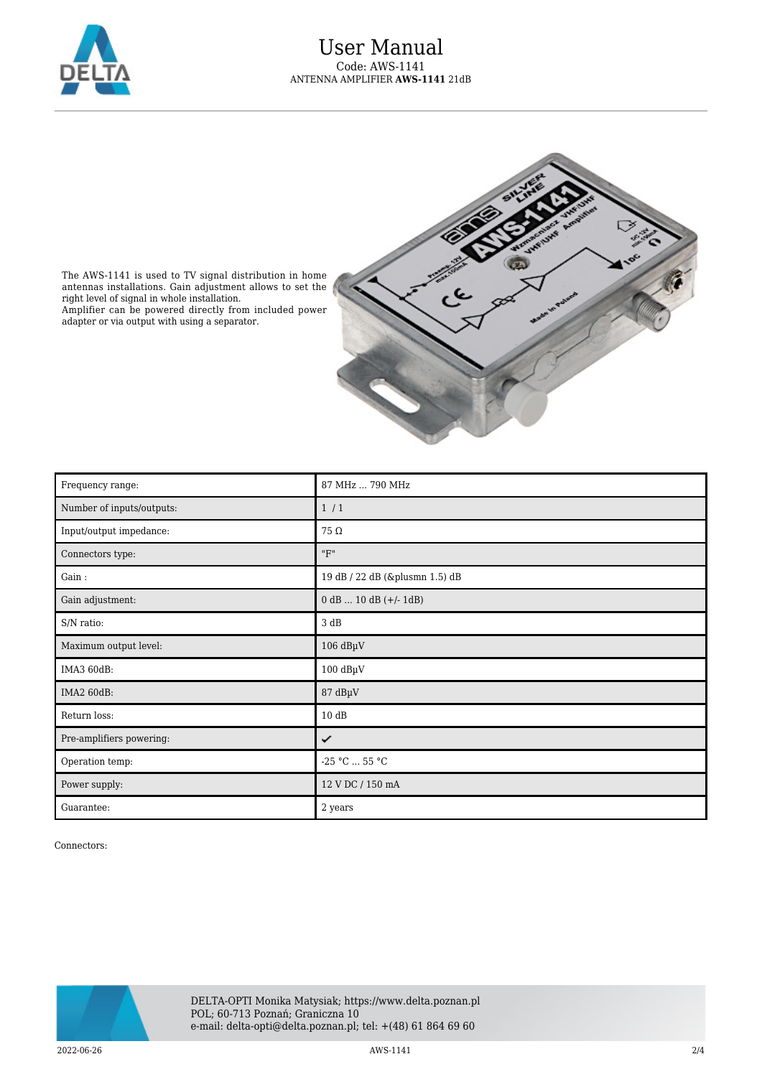



The AWS-1141 is used to TV signal distribution in home antennas installations. Gain adjustment allows to set the right level of signal in whole installation.

Amplifier can be powered directly from included power adapter or via output with using a separator.

| Frequency range:          | 87 MHz  790 MHz              |
|---------------------------|------------------------------|
| Number of inputs/outputs: | 1/1                          |
| Input/output impedance:   | 75 $\Omega$                  |
| Connectors type:          | "F"                          |
| Gain:                     | 19 dB / 22 dB (± 1.5) dB     |
| Gain adjustment:          | $0 dB \dots 10 dB (+/- 1dB)$ |
| S/N ratio:                | 3 dB                         |
| Maximum output level:     | $106$ dB $\mu$ V             |
| IMA3 60dB:                | $100$ dB $\mu$ V             |
| <b>IMA2 60dB:</b>         | 87 dBµV                      |
| Return loss:              | 10dB                         |
| Pre-amplifiers powering:  | ✓                            |
| Operation temp:           | -25 °C  55 °C                |
| Power supply:             | 12 V DC / 150 mA             |
| Guarantee:                | 2 years                      |

Connectors:

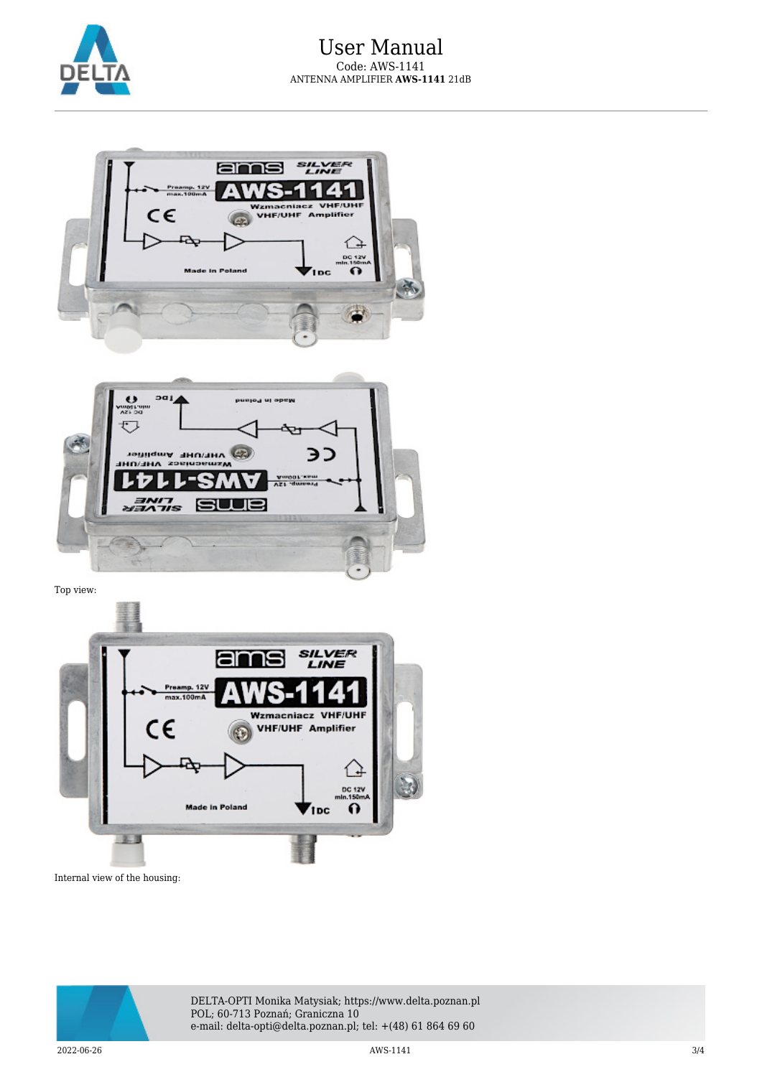





Top view:



Internal view of the housing:



DELTA-OPTI Monika Matysiak; https://www.delta.poznan.pl POL; 60-713 Poznań; Graniczna 10 e-mail: delta-opti@delta.poznan.pl; tel: +(48) 61 864 69 60

 $2022-06-26$  3/4